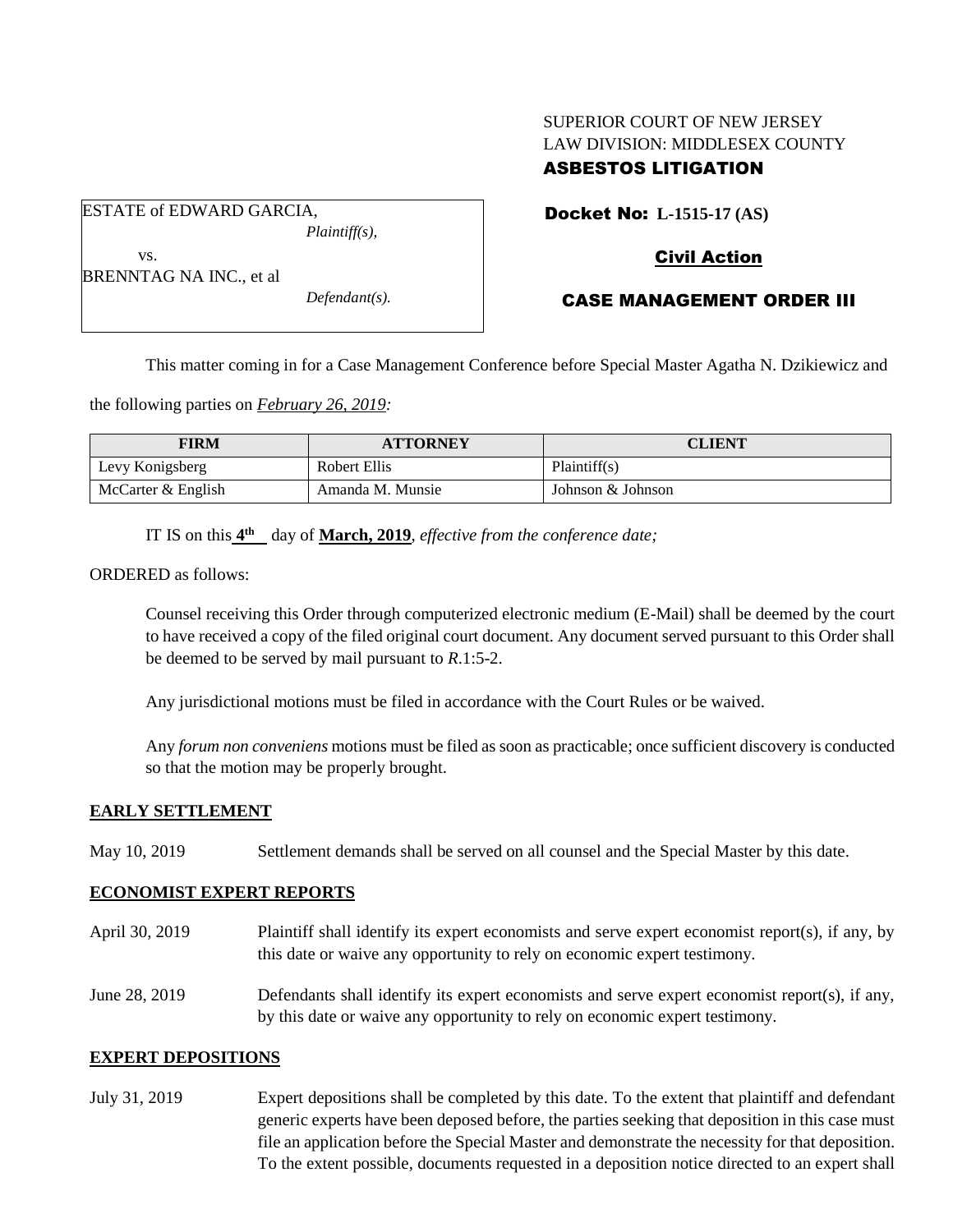# SUPERIOR COURT OF NEW JERSEY LAW DIVISION: MIDDLESEX COUNTY ASBESTOS LITIGATION

Docket No: **L-1515-17 (AS)** 

## Civil Action

| BRENNTAG NA INC., et al |  |
|-------------------------|--|

vs.

ESTATE of EDWARD GARCIA,

*Defendant(s).*

*Plaintiff(s),*

CASE MANAGEMENT ORDER III

This matter coming in for a Case Management Conference before Special Master Agatha N. Dzikiewicz and

the following parties on *February 26, 2019:*

| FIRM               | <b>ATTORNEY</b>  | <b>CLIENT</b>     |
|--------------------|------------------|-------------------|
| Levy Konigsberg    | Robert Ellis     | Plaintiff(s)      |
| McCarter & English | Amanda M. Munsie | Johnson & Johnson |

IT IS on this  $4^{\text{th}}$  day of **March, 2019**, *effective from the conference date*;

ORDERED as follows:

Counsel receiving this Order through computerized electronic medium (E-Mail) shall be deemed by the court to have received a copy of the filed original court document. Any document served pursuant to this Order shall be deemed to be served by mail pursuant to *R*.1:5-2.

Any jurisdictional motions must be filed in accordance with the Court Rules or be waived.

Any *forum non conveniens* motions must be filed as soon as practicable; once sufficient discovery is conducted so that the motion may be properly brought.

#### **EARLY SETTLEMENT**

May 10, 2019 Settlement demands shall be served on all counsel and the Special Master by this date.

### **ECONOMIST EXPERT REPORTS**

April 30, 2019 Plaintiff shall identify its expert economists and serve expert economist report(s), if any, by this date or waive any opportunity to rely on economic expert testimony.

June 28, 2019 Defendants shall identify its expert economists and serve expert economist report(s), if any, by this date or waive any opportunity to rely on economic expert testimony.

### **EXPERT DEPOSITIONS**

July 31, 2019 Expert depositions shall be completed by this date. To the extent that plaintiff and defendant generic experts have been deposed before, the parties seeking that deposition in this case must file an application before the Special Master and demonstrate the necessity for that deposition. To the extent possible, documents requested in a deposition notice directed to an expert shall